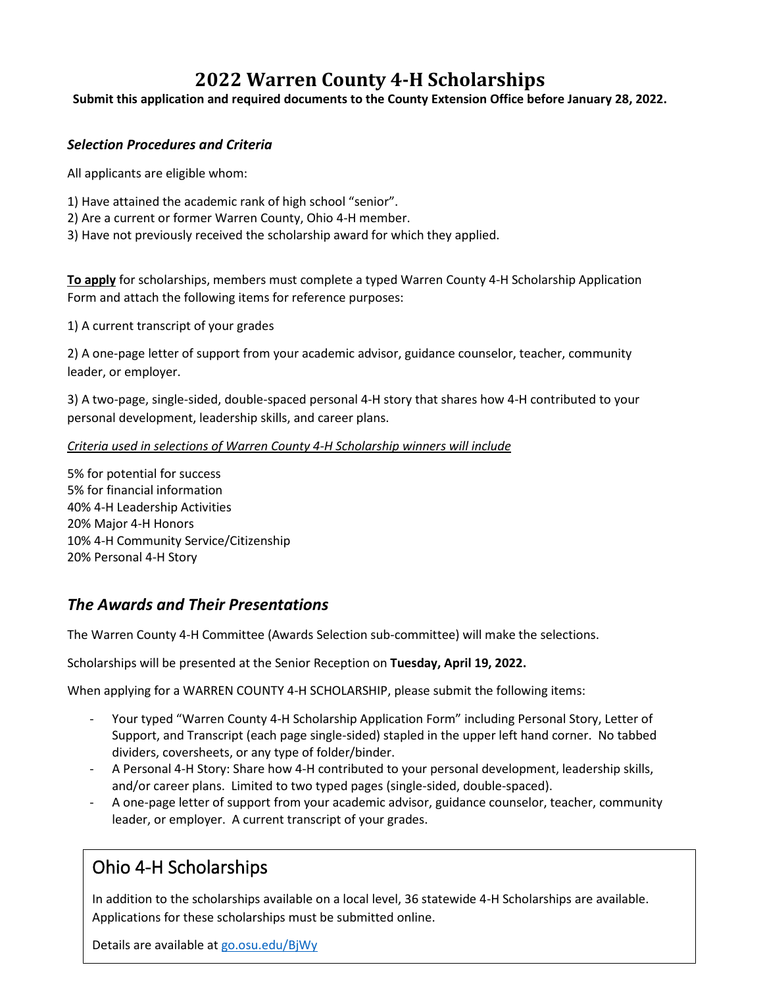# **2022 Warren County 4-H Scholarships**

**Submit this application and required documents to the County Extension Office before January 28, 2022.**

## *Selection Procedures and Criteria*

All applicants are eligible whom:

- 1) Have attained the academic rank of high school "senior".
- 2) Are a current or former Warren County, Ohio 4-H member.
- 3) Have not previously received the scholarship award for which they applied.

**To apply** for scholarships, members must complete a typed Warren County 4-H Scholarship Application Form and attach the following items for reference purposes:

1) A current transcript of your grades

2) A one-page letter of support from your academic advisor, guidance counselor, teacher, community leader, or employer.

3) A two-page, single-sided, double-spaced personal 4-H story that shares how 4-H contributed to your personal development, leadership skills, and career plans.

### *Criteria used in selections of Warren County 4-H Scholarship winners will include*

5% for potential for success 5% for financial information 40% 4-H Leadership Activities 20% Major 4-H Honors 10% 4-H Community Service/Citizenship 20% Personal 4-H Story

# *The Awards and Their Presentations*

The Warren County 4-H Committee (Awards Selection sub-committee) will make the selections.

Scholarships will be presented at the Senior Reception on **Tuesday, April 19, 2022.**

When applying for a WARREN COUNTY 4-H SCHOLARSHIP, please submit the following items:

- Your typed "Warren County 4-H Scholarship Application Form" including Personal Story, Letter of Support, and Transcript (each page single-sided) stapled in the upper left hand corner. No tabbed dividers, coversheets, or any type of folder/binder.
- A Personal 4-H Story: Share how 4-H contributed to your personal development, leadership skills, and/or career plans. Limited to two typed pages (single-sided, double-spaced).
- A one-page letter of support from your academic advisor, guidance counselor, teacher, community leader, or employer. A current transcript of your grades.

# Ohio 4-H Scholarships

In addition to the scholarships available on a local level, 36 statewide 4-H Scholarships are available. Applications for these scholarships must be submitted online.

Details are available a[t go.osu.edu/BjWy](http://www.ohio4h.org/families/just-teens/awards-scholarships/ohio-4-h-scholarships)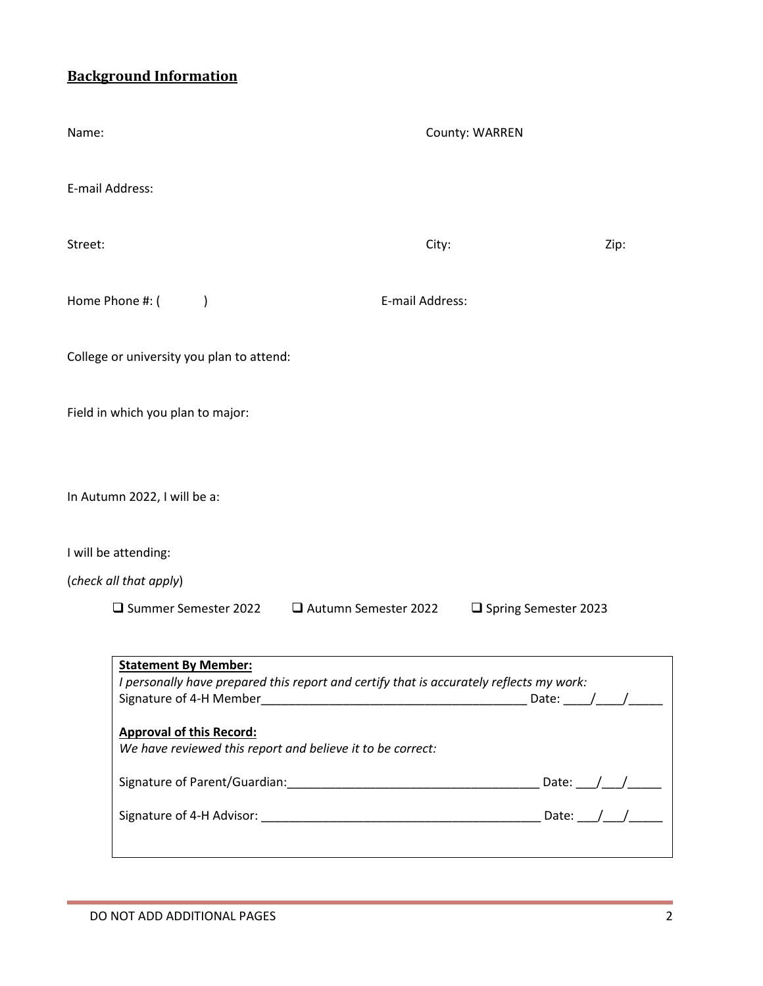# **Background Information**

| County: WARREN                                                                                                                                        |                        |
|-------------------------------------------------------------------------------------------------------------------------------------------------------|------------------------|
|                                                                                                                                                       |                        |
| City:                                                                                                                                                 | Zip:                   |
| E-mail Address:                                                                                                                                       |                        |
|                                                                                                                                                       |                        |
|                                                                                                                                                       |                        |
|                                                                                                                                                       |                        |
|                                                                                                                                                       |                        |
|                                                                                                                                                       |                        |
| Autumn Semester 2022                                                                                                                                  | □ Spring Semester 2023 |
| I personally have prepared this report and certify that is accurately reflects my work:<br>We have reviewed this report and believe it to be correct: |                        |
|                                                                                                                                                       |                        |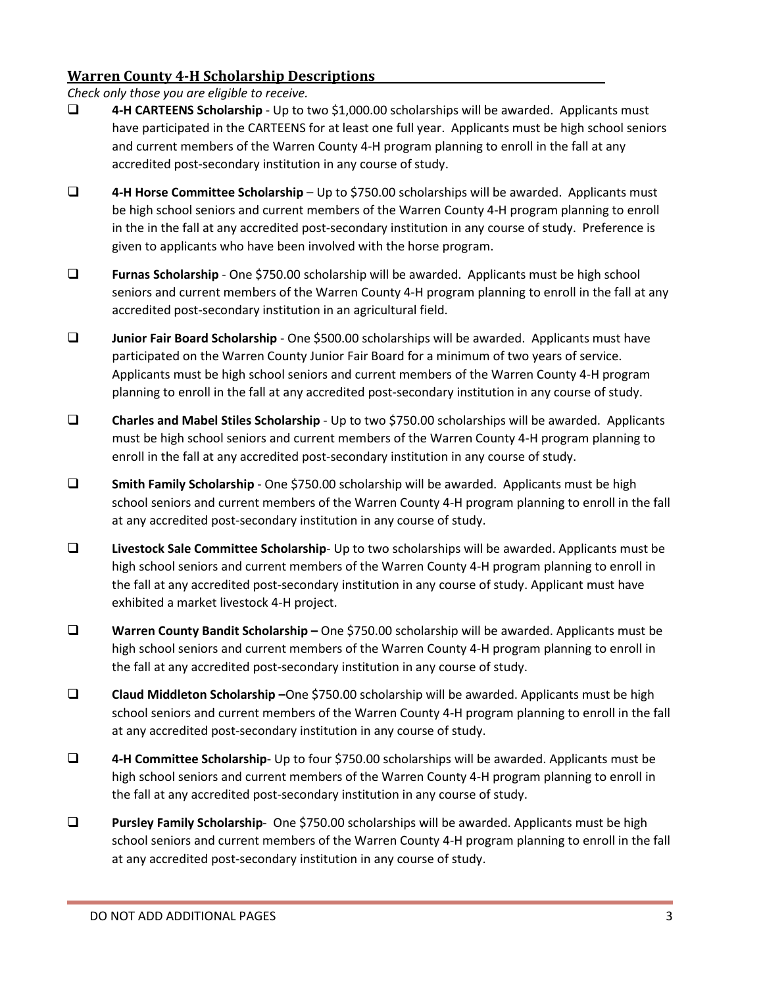## **Warren County 4-H Scholarship Descriptions**

*Check only those you are eligible to receive.*

- **4-H CARTEENS Scholarship** Up to two \$1,000.00 scholarships will be awarded. Applicants must have participated in the CARTEENS for at least one full year. Applicants must be high school seniors and current members of the Warren County 4-H program planning to enroll in the fall at any accredited post-secondary institution in any course of study.
- **4-H Horse Committee Scholarship** Up to \$750.00 scholarships will be awarded. Applicants must be high school seniors and current members of the Warren County 4-H program planning to enroll in the in the fall at any accredited post-secondary institution in any course of study. Preference is given to applicants who have been involved with the horse program.
- **Furnas Scholarship** One \$750.00 scholarship will be awarded. Applicants must be high school seniors and current members of the Warren County 4-H program planning to enroll in the fall at any accredited post-secondary institution in an agricultural field.
- **Junior Fair Board Scholarship** One \$500.00 scholarships will be awarded. Applicants must have participated on the Warren County Junior Fair Board for a minimum of two years of service. Applicants must be high school seniors and current members of the Warren County 4-H program planning to enroll in the fall at any accredited post-secondary institution in any course of study.
- **Charles and Mabel Stiles Scholarship** Up to two \$750.00 scholarships will be awarded. Applicants must be high school seniors and current members of the Warren County 4-H program planning to enroll in the fall at any accredited post-secondary institution in any course of study.
- **Smith Family Scholarship** One \$750.00 scholarship will be awarded. Applicants must be high school seniors and current members of the Warren County 4-H program planning to enroll in the fall at any accredited post-secondary institution in any course of study.
- **Livestock Sale Committee Scholarship** Up to two scholarships will be awarded. Applicants must be high school seniors and current members of the Warren County 4-H program planning to enroll in the fall at any accredited post-secondary institution in any course of study. Applicant must have exhibited a market livestock 4-H project.
- **Warren County Bandit Scholarship –** One \$750.00 scholarship will be awarded. Applicants must be high school seniors and current members of the Warren County 4-H program planning to enroll in the fall at any accredited post-secondary institution in any course of study.
- **Claud Middleton Scholarship –**One \$750.00 scholarship will be awarded. Applicants must be high school seniors and current members of the Warren County 4-H program planning to enroll in the fall at any accredited post-secondary institution in any course of study.
- **4-H Committee Scholarship** Up to four \$750.00 scholarships will be awarded. Applicants must be high school seniors and current members of the Warren County 4-H program planning to enroll in the fall at any accredited post-secondary institution in any course of study.
- **Pursley Family Scholarship** One \$750.00 scholarships will be awarded. Applicants must be high school seniors and current members of the Warren County 4-H program planning to enroll in the fall at any accredited post-secondary institution in any course of study.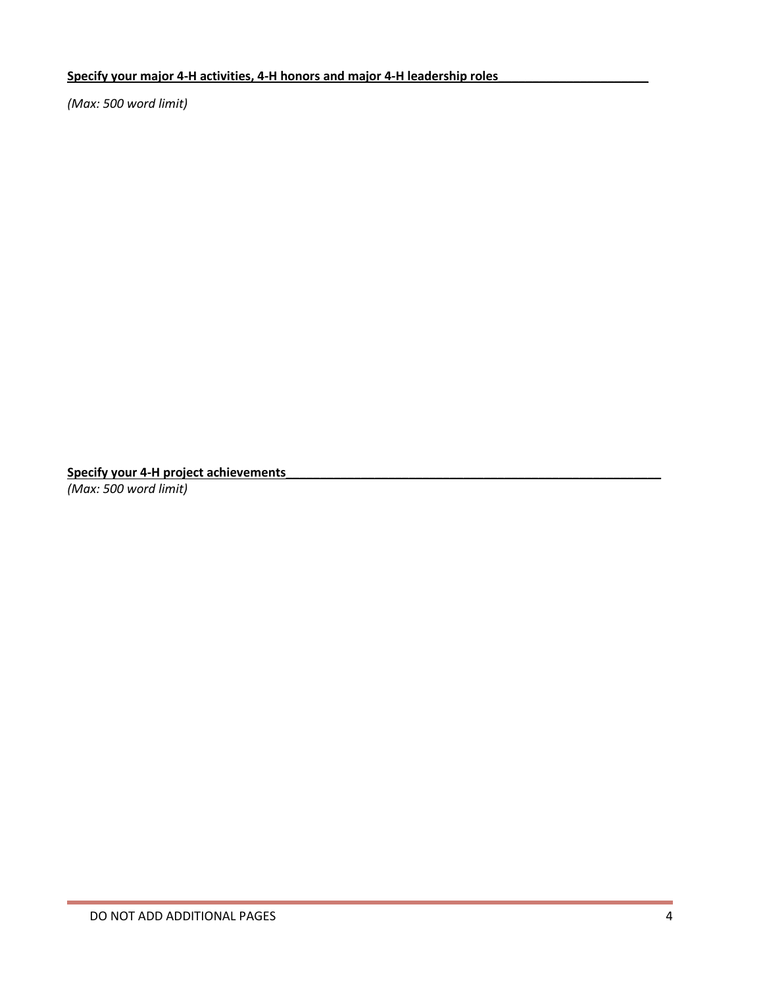## Specify your major 4-H activities, 4-H honors and major 4-H leadership roles

*(Max: 500 word limit)*

**Specify your 4-H project achievements\_\_\_\_\_\_\_\_\_\_\_\_\_\_\_\_\_\_\_\_\_\_\_\_\_\_\_\_\_\_\_\_\_\_\_\_\_\_\_\_\_\_\_\_\_\_\_\_\_\_\_\_\_\_\_** *(Max: 500 word limit)*